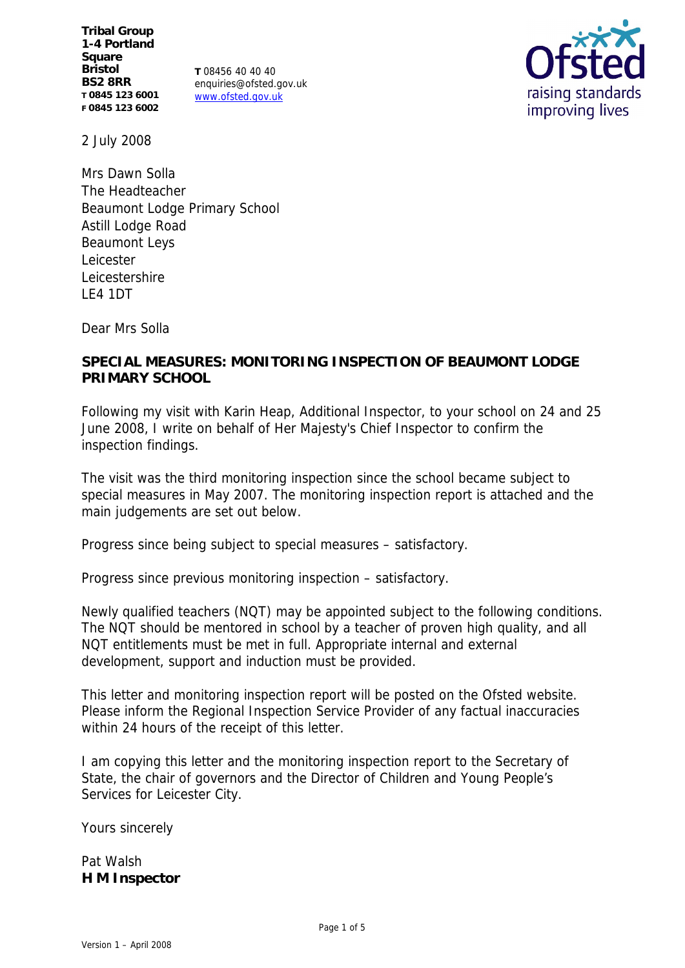**Tribal Group 1-4 Portland Square Bristol BS2 8RR T 0845 123 6001 F 0845 123 6002**

**T** 08456 40 40 40 enquiries@ofsted.gov.uk www.ofsted.gov.uk



2 July 2008

Mrs Dawn Solla The Headteacher Beaumont Lodge Primary School Astill Lodge Road Beaumont Leys Leicester Leicestershire LE4 1DT

Dear Mrs Solla

**SPECIAL MEASURES: MONITORING INSPECTION OF BEAUMONT LODGE PRIMARY SCHOOL**

Following my visit with Karin Heap, Additional Inspector, to your school on 24 and 25 June 2008, I write on behalf of Her Majesty's Chief Inspector to confirm the inspection findings.

The visit was the third monitoring inspection since the school became subject to special measures in May 2007. The monitoring inspection report is attached and the main judgements are set out below.

Progress since being subject to special measures – satisfactory.

Progress since previous monitoring inspection – satisfactory.

Newly qualified teachers (NQT) may be appointed subject to the following conditions. The NQT should be mentored in school by a teacher of proven high quality, and all NQT entitlements must be met in full. Appropriate internal and external development, support and induction must be provided.

This letter and monitoring inspection report will be posted on the Ofsted website. Please inform the Regional Inspection Service Provider of any factual inaccuracies within 24 hours of the receipt of this letter.

I am copying this letter and the monitoring inspection report to the Secretary of State, the chair of governors and the Director of Children and Young People's Services for Leicester City.

Yours sincerely

Pat Walsh **H M Inspector**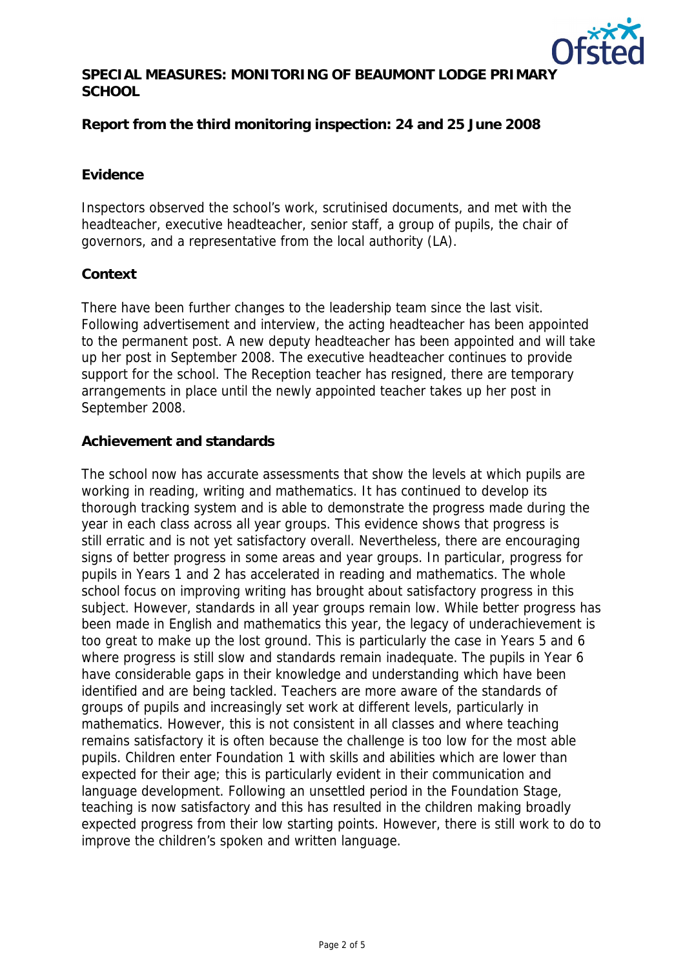

**SPECIAL MEASURES: MONITORING OF BEAUMONT LODGE PRIMARY SCHOOL**

**Report from the third monitoring inspection: 24 and 25 June 2008**

## **Evidence**

Inspectors observed the school's work, scrutinised documents, and met with the headteacher, executive headteacher, senior staff, a group of pupils, the chair of governors, and a representative from the local authority (LA).

### **Context**

There have been further changes to the leadership team since the last visit. Following advertisement and interview, the acting headteacher has been appointed to the permanent post. A new deputy headteacher has been appointed and will take up her post in September 2008. The executive headteacher continues to provide support for the school. The Reception teacher has resigned, there are temporary arrangements in place until the newly appointed teacher takes up her post in September 2008.

### **Achievement and standards**

The school now has accurate assessments that show the levels at which pupils are working in reading, writing and mathematics. It has continued to develop its thorough tracking system and is able to demonstrate the progress made during the year in each class across all year groups. This evidence shows that progress is still erratic and is not yet satisfactory overall. Nevertheless, there are encouraging signs of better progress in some areas and year groups. In particular, progress for pupils in Years 1 and 2 has accelerated in reading and mathematics. The whole school focus on improving writing has brought about satisfactory progress in this subject. However, standards in all year groups remain low. While better progress has been made in English and mathematics this year, the legacy of underachievement is too great to make up the lost ground. This is particularly the case in Years 5 and 6 where progress is still slow and standards remain inadequate. The pupils in Year 6 have considerable gaps in their knowledge and understanding which have been identified and are being tackled. Teachers are more aware of the standards of groups of pupils and increasingly set work at different levels, particularly in mathematics. However, this is not consistent in all classes and where teaching remains satisfactory it is often because the challenge is too low for the most able pupils. Children enter Foundation 1 with skills and abilities which are lower than expected for their age; this is particularly evident in their communication and language development. Following an unsettled period in the Foundation Stage, teaching is now satisfactory and this has resulted in the children making broadly expected progress from their low starting points. However, there is still work to do to improve the children's spoken and written language.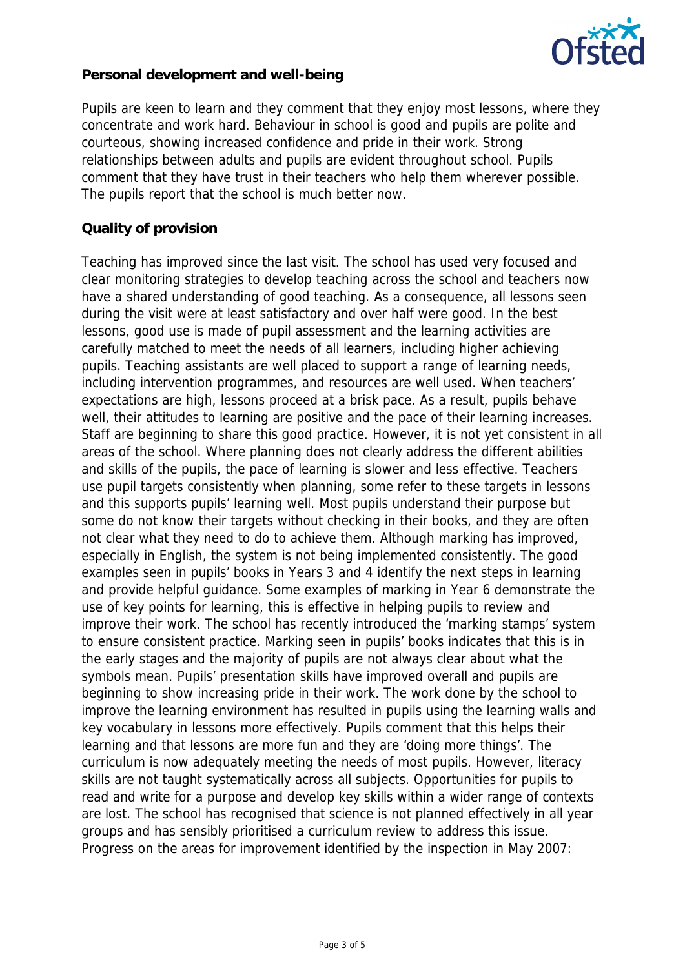

**Personal development and well-being**

Pupils are keen to learn and they comment that they enjoy most lessons, where they concentrate and work hard. Behaviour in school is good and pupils are polite and courteous, showing increased confidence and pride in their work. Strong relationships between adults and pupils are evident throughout school. Pupils comment that they have trust in their teachers who help them wherever possible. The pupils report that the school is much better now.

## **Quality of provision**

Teaching has improved since the last visit. The school has used very focused and clear monitoring strategies to develop teaching across the school and teachers now have a shared understanding of good teaching. As a consequence, all lessons seen during the visit were at least satisfactory and over half were good. In the best lessons, good use is made of pupil assessment and the learning activities are carefully matched to meet the needs of all learners, including higher achieving pupils. Teaching assistants are well placed to support a range of learning needs, including intervention programmes, and resources are well used. When teachers' expectations are high, lessons proceed at a brisk pace. As a result, pupils behave well, their attitudes to learning are positive and the pace of their learning increases. Staff are beginning to share this good practice. However, it is not yet consistent in all areas of the school. Where planning does not clearly address the different abilities and skills of the pupils, the pace of learning is slower and less effective. Teachers use pupil targets consistently when planning, some refer to these targets in lessons and this supports pupils' learning well. Most pupils understand their purpose but some do not know their targets without checking in their books, and they are often not clear what they need to do to achieve them. Although marking has improved, especially in English, the system is not being implemented consistently. The good examples seen in pupils' books in Years 3 and 4 identify the next steps in learning and provide helpful guidance. Some examples of marking in Year 6 demonstrate the use of key points for learning, this is effective in helping pupils to review and improve their work. The school has recently introduced the 'marking stamps' system to ensure consistent practice. Marking seen in pupils' books indicates that this is in the early stages and the majority of pupils are not always clear about what the symbols mean. Pupils' presentation skills have improved overall and pupils are beginning to show increasing pride in their work. The work done by the school to improve the learning environment has resulted in pupils using the learning walls and key vocabulary in lessons more effectively. Pupils comment that this helps their learning and that lessons are more fun and they are 'doing more things'. The curriculum is now adequately meeting the needs of most pupils. However, literacy skills are not taught systematically across all subjects. Opportunities for pupils to read and write for a purpose and develop key skills within a wider range of contexts are lost. The school has recognised that science is not planned effectively in all year groups and has sensibly prioritised a curriculum review to address this issue. Progress on the areas for improvement identified by the inspection in May 2007: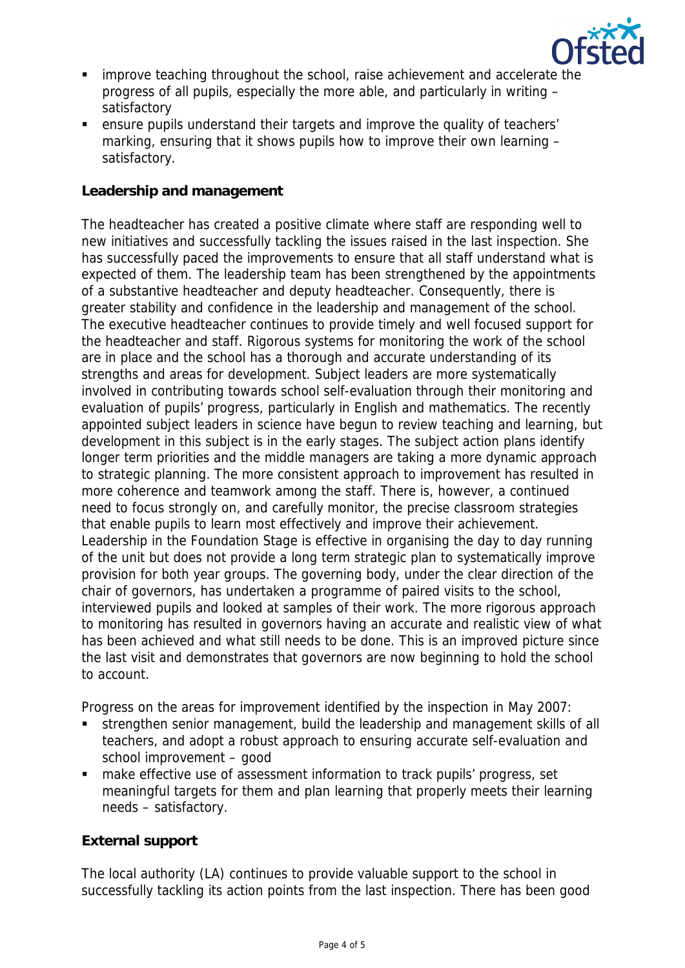

- improve teaching throughout the school, raise achievement and accelerate the progress of all pupils, especially the more able, and particularly in writing – satisfactory
- ensure pupils understand their targets and improve the quality of teachers' marking, ensuring that it shows pupils how to improve their own learning – satisfactory.

## **Leadership and management**

The headteacher has created a positive climate where staff are responding well to new initiatives and successfully tackling the issues raised in the last inspection. She has successfully paced the improvements to ensure that all staff understand what is expected of them. The leadership team has been strengthened by the appointments of a substantive headteacher and deputy headteacher. Consequently, there is greater stability and confidence in the leadership and management of the school. The executive headteacher continues to provide timely and well focused support for the headteacher and staff. Rigorous systems for monitoring the work of the school are in place and the school has a thorough and accurate understanding of its strengths and areas for development. Subject leaders are more systematically involved in contributing towards school self-evaluation through their monitoring and evaluation of pupils' progress, particularly in English and mathematics. The recently appointed subject leaders in science have begun to review teaching and learning, but development in this subject is in the early stages. The subject action plans identify longer term priorities and the middle managers are taking a more dynamic approach to strategic planning. The more consistent approach to improvement has resulted in more coherence and teamwork among the staff. There is, however, a continued need to focus strongly on, and carefully monitor, the precise classroom strategies that enable pupils to learn most effectively and improve their achievement. Leadership in the Foundation Stage is effective in organising the day to day running of the unit but does not provide a long term strategic plan to systematically improve provision for both year groups. The governing body, under the clear direction of the chair of governors, has undertaken a programme of paired visits to the school, interviewed pupils and looked at samples of their work. The more rigorous approach to monitoring has resulted in governors having an accurate and realistic view of what has been achieved and what still needs to be done. This is an improved picture since the last visit and demonstrates that governors are now beginning to hold the school to account.

Progress on the areas for improvement identified by the inspection in May 2007:

- strengthen senior management, build the leadership and management skills of all teachers, and adopt a robust approach to ensuring accurate self-evaluation and school improvement – good
- make effective use of assessment information to track pupils' progress, set meaningful targets for them and plan learning that properly meets their learning needs – satisfactory.

# **External support**

The local authority (LA) continues to provide valuable support to the school in successfully tackling its action points from the last inspection. There has been good